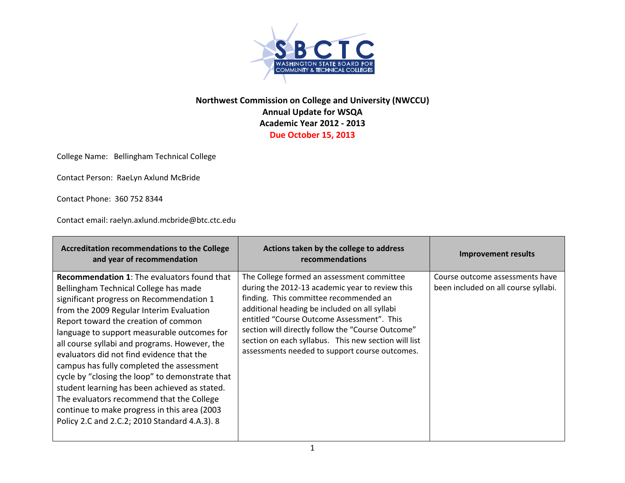

## **Northwest Commission on College and University (NWCCU) Annual Update for WSQA Academic Year 2012 ‐ 2013 Due October 15, 2013**

College Name: Bellingham Technical College

Contact Person: RaeLyn Axlund McBride

Contact Phone: 360 752 8344

Contact email: raelyn.axlund.mcbride@btc.ctc.edu

| <b>Accreditation recommendations to the College</b><br>and year of recommendation                                                                                                                                                                                                                                                                                                                                                                                                                                                                                                                                                                                        | Actions taken by the college to address<br>recommendations                                                                                                                                                                                                                                                                                                                                            | Improvement results                                                     |
|--------------------------------------------------------------------------------------------------------------------------------------------------------------------------------------------------------------------------------------------------------------------------------------------------------------------------------------------------------------------------------------------------------------------------------------------------------------------------------------------------------------------------------------------------------------------------------------------------------------------------------------------------------------------------|-------------------------------------------------------------------------------------------------------------------------------------------------------------------------------------------------------------------------------------------------------------------------------------------------------------------------------------------------------------------------------------------------------|-------------------------------------------------------------------------|
| <b>Recommendation 1:</b> The evaluators found that<br>Bellingham Technical College has made<br>significant progress on Recommendation 1<br>from the 2009 Regular Interim Evaluation<br>Report toward the creation of common<br>language to support measurable outcomes for<br>all course syllabi and programs. However, the<br>evaluators did not find evidence that the<br>campus has fully completed the assessment<br>cycle by "closing the loop" to demonstrate that<br>student learning has been achieved as stated.<br>The evaluators recommend that the College<br>continue to make progress in this area (2003)<br>Policy 2.C and 2.C.2; 2010 Standard 4.A.3). 8 | The College formed an assessment committee<br>during the 2012-13 academic year to review this<br>finding. This committee recommended an<br>additional heading be included on all syllabi<br>entitled "Course Outcome Assessment". This<br>section will directly follow the "Course Outcome"<br>section on each syllabus. This new section will list<br>assessments needed to support course outcomes. | Course outcome assessments have<br>been included on all course syllabi. |